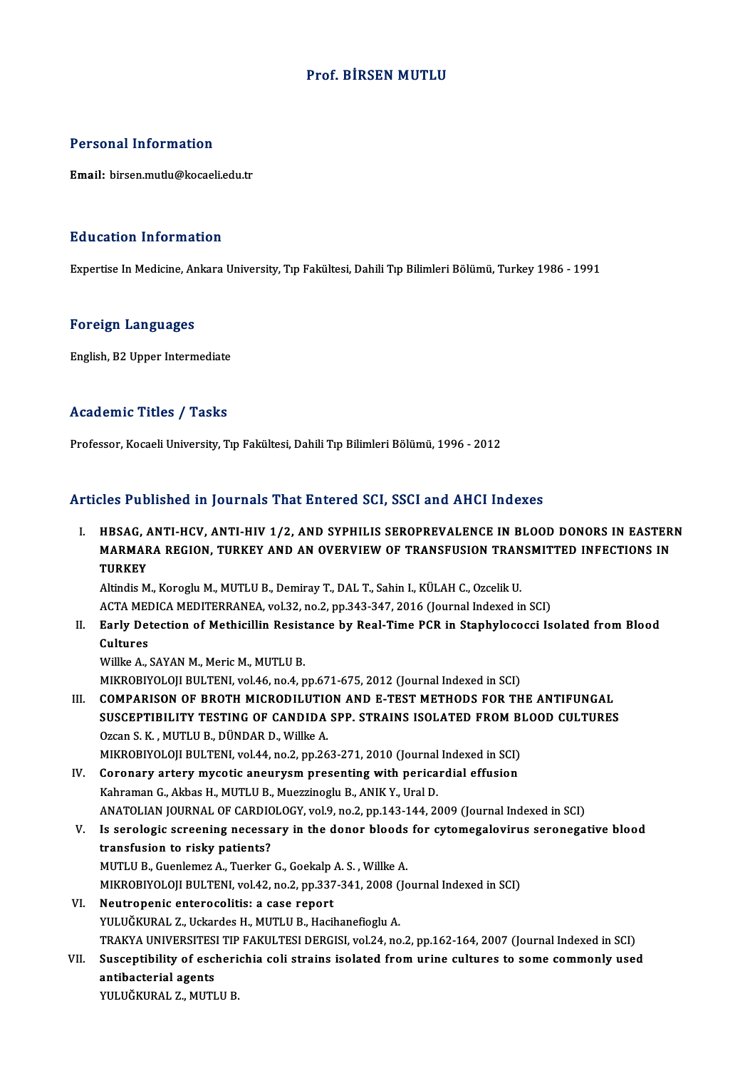## Prof. BİRSEN MUTLU

#### Personal Information

Email: birsen.mutlu@kocaeli.edu.tr

#### Education Information

Expertise In Medicine, Ankara University, Tıp Fakültesi, Dahili Tıp Bilimleri Bölümü, Turkey 1986 - 1991

#### Foreign Languages

English,B2Upper Intermediate

### Academic Titles / Tasks

Professor, Kocaeli University, Tıp Fakültesi, Dahili Tıp Bilimleri Bölümü, 1996 - 2012

## Articles Published in Journals That Entered SCI, SSCI and AHCI Indexes

Tticles Published in Journals That Entered SCI, SSCI and AHCI Indexes<br>I. HBSAG, ANTI-HCV, ANTI-HIV 1/2, AND SYPHILIS SEROPREVALENCE IN BLOOD DONORS IN EASTERN<br>MARMARA RECION TURKEY AND AN OVERVIEW OF TRANSEUSION TRANSMITTE MOST WOMONOW IN JOUTNUS THUCHOU OUT, OOST WHO THIST MUCHOS<br>HBSAG, ANTI-HCV, ANTI-HIV 1/2, AND SYPHILIS SEROPREVALENCE IN BLOOD DONORS IN EASTER<br>MARMARA REGION, TURKEY AND AN OVERVIEW OF TRANSFUSION TRANSMITTED INFECTIONS I HBSAG, A<br>MARMAF<br>TURKEY<br>Altindis M MARMARA REGION, TURKEY AND AN OVERVIEW OF TRANSFUSION TRANSMITTED INFECTIONS IN<br>TURKEY<br>Altindis M., Koroglu M., MUTLU B., Demiray T., DAL T., Sahin I., KÜLAH C., Ozcelik U.

TURKEY<br>Altindis M., Koroglu M., MUTLU B., Demiray T., DAL T., Sahin I., KÜLAH C., Ozcelik U.<br>ACTA MEDICA MEDITERRANEA, vol.32, no.2, pp.343-347, 2016 (Journal Indexed in SCI)<br>Farly Detection of Methicillin Besistance by Be Altindis M., Koroglu M., MUTLU B., Demiray T., DAL T., Sahin I., KÜLAH C., Ozcelik U.<br>ACTA MEDICA MEDITERRANEA, vol.32, no.2, pp.343-347, 2016 (Journal Indexed in SCI)<br>II. Early Detection of Methicillin Resistance by R

ACTA MEI<br><mark>Early De</mark>t<br>Cultures<br><sup>Millico A</sup> Early Detection of Methicillin Resist<br>Cultures<br>Willke A., SAYAN M., Meric M., MUTLU B.<br>MIKROPIXOLOU PULTENL vol 46 no 4 n

Cultures<br>Willke A., SAYAN M., Meric M., MUTLU B.<br>MIKROBIYOLOJI BULTENI, vol.46, no.4, pp.671-675, 2012 (Journal Indexed in SCI)

III. COMPARISON OF BROTH MICRODILUTION AND E-TEST METHODS FOR THE ANTIFUNGAL MIKROBIYOLOJI BULTENI, vol.46, no.4, pp.671-675, 2012 (Journal Indexed in SCI)<br>COMPARISON OF BROTH MICRODILUTION AND E-TEST METHODS FOR THE ANTIFUNGAL<br>SUSCEPTIBILITY TESTING OF CANDIDA SPP. STRAINS ISOLATED FROM BLOOD CULT COMPARISON OF BROTH MICRODILUTION<br>SUSCEPTIBILITY TESTING OF CANDIDA<br>Ozcan S. K. , MUTLU B., DÜNDAR D., Willke A. SUSCEPTIBILITY TESTING OF CANDIDA SPP. STRAINS ISOLATED FROM B<br>Ozcan S. K., MUTLU B., DÜNDAR D., Willke A.<br>MIKROBIYOLOJI BULTENI, vol.44, no.2, pp.263-271, 2010 (Journal Indexed in SCI)<br>Cononowy ortowy musetis anouwwam pre

Ozcan S. K., MUTLU B., DÜNDAR D., Willke A.<br>MIKROBIYOLOJI BULTENI, vol.44, no.2, pp.263-271, 2010 (Journal Indexed in SCI)<br>IV. Coronary artery mycotic aneurysm presenting with pericardial effusion<br>Kahraman G., Akbas H., MU MIKROBIYOLOJI BULTENI, vol.44, no.2, pp.263-271, 2010 (Journal<br>Coronary artery mycotic aneurysm presenting with perica<br>Kahraman G., Akbas H., MUTLU B., Muezzinoglu B., ANIK Y., Ural D.<br>ANATOLIAN JOUPNAL OF CAPPIOLOCY vol.9 Coronary artery mycotic aneurysm presenting with pericardial effusion<br>Kahraman G., Akbas H., MUTLU B., Muezzinoglu B., ANIK Y., Ural D.<br>ANATOLIAN JOURNAL OF CARDIOLOGY, vol.9, no.2, pp.143-144, 2009 (Journal Indexed in SCI

- V. Is serologic screening necessary in the donor bloods for cytomegalovirus seronegative blood ANATOLIAN JOURNAL OF CARDIC<br>Is serologic screening necessa<br>transfusion to risky patients?<br>MUTULE Cuonlomez A Tuerker Is serologic screening necessary in the donor bloods<br>transfusion to risky patients?<br>MUTLU B., Guenlemez A., Tuerker G., Goekalp A. S. , Willke A.<br>MUTDOPIVOLOU PULTENL vol.42, no.2, np.227,244,2009 (Je MIKROBIYOLOJI BULTENI, vol.42, no.2, pp.337-341, 2008 (Journal Indexed in SCI)<br>VI. Neutropenic enterocolitis: a case report MUTLU B., Guenlemez A., Tuerker G., Goekalp<br>MIKROBIYOLOJI BULTENI, vol.42, no.2, pp.337<br>VI. Neutropenic enterocolitis: a case report<br>VIII UČKUPAL Z. Hekardes H. MUTLU B. Hosi
- YULUĞKURAL Z., Uckardes H., MUTLU B., Hacihanefioglu A. Neutropenic enterocolitis: a case report<br>YULUĞKURAL Z., Uckardes H., MUTLU B., Hacihanefioglu A.<br>TRAKYA UNIVERSITESI TIP FAKULTESI DERGISI, vol.24, no.2, pp.162-164, 2007 (Journal Indexed in SCI)<br>Suseentibility of eschonis YULUĞKURAL Z., Uckardes H., MUTLU B., Hacihanefioglu A.<br>TRAKYA UNIVERSITESI TIP FAKULTESI DERGISI, vol.24, no.2, pp.162-164, 2007 (Journal Indexed in SCI)<br>VII. Susceptibility of escherichia coli strains isolated from urine
- TRAKYA UNIVERSITES<br>Susceptibility of esc<br>antibacterial agents<br>YULUČEURAL 7 MUTI VII. Susceptibility of escherichia coli strains isolated from urine cultures to some commonly used<br>antibacterial agents<br>YULUĞKURAL Z., MUTLU B.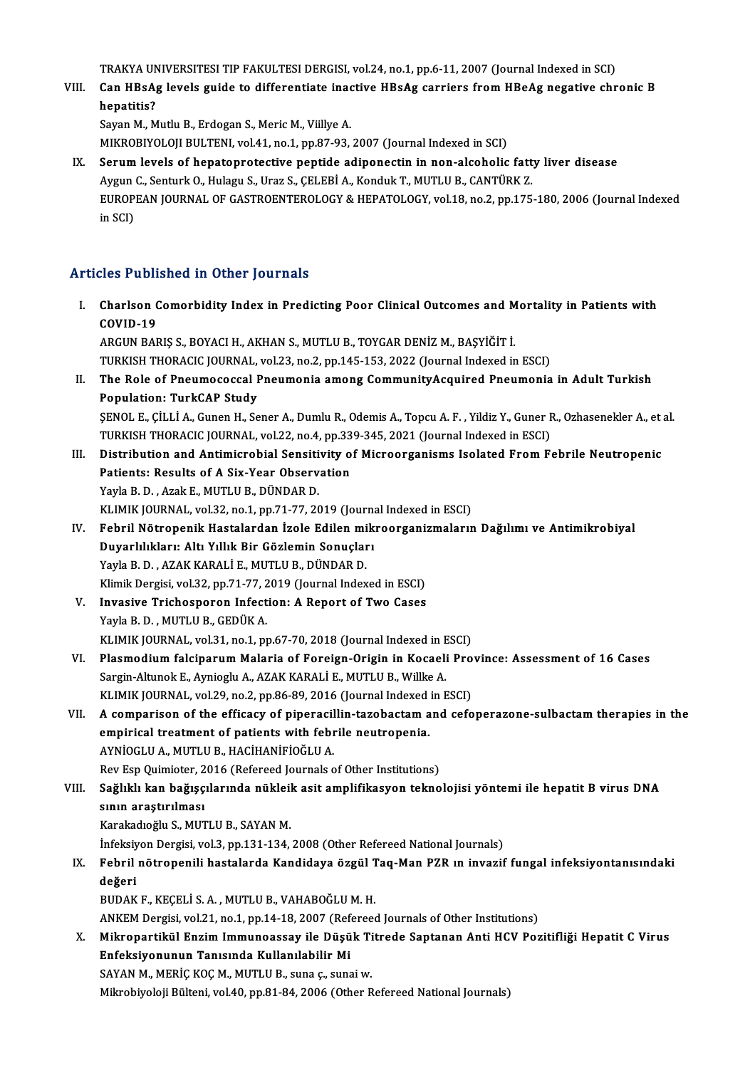TRAKYA UNIVERSITESI TIP FAKULTESI DERGISI, vol.24, no.1, pp.6-11, 2007 (Journal Indexed in SCI)<br>Can HBadg Javala quida ta differentiate inactive HBadg canniors from HBadg pegative shn

TRAKYA UNIVERSITESI TIP FAKULTESI DERGISI, vol.24, no.1, pp.6-11, 2007 (Journal Indexed in SCI)<br>VIII. Can HBsAg levels guide to differentiate inactive HBsAg carriers from HBeAg negative chronic B<br>henetitie? TRAKYA UN<br>Can HBsA<sub>l</sub><br>hepatitis?<br>Savan M. M Can HBsAg levels guide to differentiate inadential control.<br>hepatitis?<br>Sayan M., Mutlu B., Erdogan S., Meric M., Viillye A.<br>MIKROBIXOLOU BLU TENL vol.44, no.4, np.97.02.

hepatitis?<br>Sayan M., Mutlu B., Erdogan S., Meric M., Viillye A.<br>MIKROBIYOLOJI BULTENI, vol.41, no.1, pp.87-93, 2007 (Journal Indexed in SCI)

IX. Serumlevels of hepatoprotective peptide adiponectin in non-alcoholic fatty liver disease MIKROBIYOLOJI BULTENI, vol.41, no.1, pp.87-93, 2007 (Journal Indexed in SCI)<br>Serum levels of hepatoprotective peptide adiponectin in non-alcoholic fatt<br>Aygun C., Senturk O., Hulagu S., Uraz S., ÇELEBİ A., Konduk T., MUTLU EUROPEAN JOURNAL OF GASTROENTEROLOGY & HEPATOLOGY, vol.18, no.2, pp.175-180, 2006 (Journal Indexed in SCI) Aygun<br>EUROP<br>in SCI)

# Articles Published in Other Journals

rticles Published in Other Journals<br>I. Charlson Comorbidity Index in Predicting Poor Clinical Outcomes and Mortality in Patients with<br>COVID 19 Charlson<br>Charlson<br>COVID-19 ARGUNBARIŞ S.,BOYACIH.,AKHANS.,MUTLUB.,TOYGARDENİZM.,BAŞYİĞİTİ. COVID-19<br>ARGUN BARIŞ S., BOYACI H., AKHAN S., MUTLU B., TOYGAR DENİZ M., BAŞYİĞİT İ.<br>TURKISH THORACIC JOURNAL, vol.23, no.2, pp.145-153, 2022 (Journal Indexed in ESCI)<br>The Bole of Pneumosessal Pneumonia emang CommunityAssu ARGUN BARIȘ S., BOYACI H., AKHAN S., MUTLU B., TOYGAR DENİZ M., BAŞYİĞİT İ.<br>TURKISH THORACIC JOURNAL, vol.23, no.2, pp.145-153, 2022 (Journal Indexed in ESCI)<br>II. The Role of Pneumococcal Pneumonia among CommunityAcqui TURKISH THORACIC JOURNAL,<br>The Role of Pneumococcal I<br>Population: TurkCAP Study<br>SENOL E. CULLA Cunon H. So The Role of Pneumococcal Pneumonia among CommunityAcquired Pneumonia in Adult Turkish<br>Population: TurkCAP Study<br>ŞENOL E., ÇİLLİ A., Gunen H., Sener A., Dumlu R., Odemis A., Topcu A. F. , Yildiz Y., Guner R., Ozhasenekler A Population: TurkCAP Study<br>SENOL E., ÇİLLİ A., Gunen H., Sener A., Dumlu R., Odemis A., Topcu A. F. , Yildiz Y., Guner R., Ozhasenekler A., et al. SENOL E., ÇİLLİ A., Gunen H., Sener A., Dumlu R., Odemis A., Topcu A. F. , Yildiz Y., Guner R., Ozhasenekler A., et<br>TURKISH THORACIC JOURNAL, vol.22, no.4, pp.339-345, 2021 (Journal Indexed in ESCI)<br>III. Distribution and A TURKISH THORACIC JOURNAL, vol.22, no.4, pp.339-345, 2021 (Journal Indexed in ESCI)<br>Distribution and Antimicrobial Sensitivity of Microorganisms Isolated From F<br>Patients: Results of A Six-Year Observation<br>Yayla B. D., Azak Distribution and Antimicrobial Sensiti<br>Patients: Results of A Six-Year Observ<br>Yayla B. D., Azak E., MUTLU B., DÜNDAR D.<br>VI IMIX JOUPNAL vol 32 no 1 nn 71 77 20 KLIMIK JOURNAL, vol.32, no.1, pp.71-77, 2019 (Journal Indexed in ESCI) Yayla B. D. , Azak E., MUTLU B., DÜNDAR D.<br>KLIMIK JOURNAL, vol.32, no.1, pp.71-77, 2019 (Journal Indexed in ESCI)<br>IV. Febril Nötropenik Hastalardan İzole Edilen mikroorganizmaların Dağılımı ve Antimikrobiyal<br>Duvarlılıkla KLIMIK JOURNAL, vol.32, no.1, pp.71-77, 2019 (Journa<br>Febril Nötropenik Hastalardan İzole Edilen mik<br>Duyarlılıkları: Altı Yıllık Bir Gözlemin Sonuçları<br>Yavla B.D., 474K KARALLE, MUTU U.B. DÜNDAR D Febril Nötropenik Hastalardan İzole Edilen mi<br>Duyarlılıkları: Altı Yıllık Bir Gözlemin Sonuçlar<br>Yayla B. D. , AZAK KARALİ E., MUTLU B., DÜNDAR D.<br>Klimik Dergisi vel 22. nn 71.77.2019 (Journal Indov Duyarlılıkları: Altı Yıllık Bir Gözlemin Sonuçları<br>Yayla B. D. , AZAK KARALİ E., MUTLU B., DÜNDAR D.<br>Klimik Dergisi, vol.32, pp.71-77, 2019 (Journal Indexed in ESCI) Yayla B. D., AZAK KARALİ E., MUTLU B., DÜNDAR D.<br>Klimik Dergisi, vol.32, pp.71-77, 2019 (Journal Indexed in ESCI)<br>V. Invasive Trichosporon Infection: A Report of Two Cases<br>Varla B. D. MUTLU B. GEDÜK A Klimik Dergisi, vol.32, pp.71-77, 2<br>Invasive Trichosporon Infect<br>Yayla B. D. , MUTLU B., GEDÜK A.<br>KLIMIK JOUPNAL vol.31, po.1, pr Invasive Trichosporon Infection: A Report of Two Cases<br>Yayla B. D. , MUTLU B., GEDÜK A.<br>KLIMIK JOURNAL, vol.31, no.1, pp.67-70, 2018 (Journal Indexed in ESCI)<br>Plasmodium folcinorum Moloria of Fonsisp Orisin in Kosaali Bro Yayla B. D. , MUTLU B., GEDÜK A.<br>KLIMIK JOURNAL, vol.31, no.1, pp.67-70, 2018 (Journal Indexed in ESCI)<br>VI. Plasmodium falciparum Malaria of Foreign-Origin in Kocaeli Province: Assessment of 16 Cases<br>Sargin-Altunok E., Ayn KLIMIK JOURNAL, vol.31, no.1, pp.67-70, 2018 (Journal Indexed in E<br>Plasmodium falciparum Malaria of Foreign-Origin in Kocaeli<br>Sargin-Altunok E., Aynioglu A., AZAK KARALİ E., MUTLU B., Willke A.<br>KLIMIK JOUPNAL, vol.39, no.3 KLIMIK JOURNAL, vol.29, no.2, pp.86-89, 2016 (Journal Indexed in ESCI) Sargin-Altunok E., Aynioglu A., AZAK KARALİ E., MUTLU B., Willke A.<br>KLIMIK JOURNAL, vol.29, no.2, pp.86-89, 2016 (Journal Indexed in ESCI)<br>VII. A comparison of the efficacy of piperacillin-tazobactam and cefoperazone-sulba KLIMIK JOURNAL, vol.29, no.2, pp.86-89, 2016 (Journal Indexed<br>A comparison of the efficacy of piperacillin-tazobactam a<br>empirical treatment of patients with febrile neutropenia.<br>AYNIOCLU A MUTUUR HACHANIEIOČLUA A comparison of the efficacy of piperacil<br>empirical treatment of patients with febre<br>AYNİOGLU A., MUTLU B., HACİHANİFİOĞLU A.<br>Pov Fen Quimister 2016 (Pefereed Journals e empirical treatment of patients with febrile neutropenia.<br>AYNİOGLU A., MUTLU B., HACİHANİFİOĞLU A.<br>Rev Esp Quimioter, 2016 (Refereed Journals of Other Institutions) AYNİOGLU A., MUTLU B., HACİHANİFİOĞLU A.<br>Rev Esp Quimioter, 2016 (Refereed Journals of Other Institutions)<br>VIII. Sağlıklı kan bağışçılarında nükleik asit amplifikasyon teknolojisi yöntemi ile hepatit B virus DNA<br>sının Rev Esp Quimioter, 2<br>Sağlıklı kan bağışç<br>sının araştırılması Sağlıklı kan bağışçılarında nükleil<br>sının araştırılması<br>Karakadıoğlu S., MUTLU B., SAYAN M.<br>İnfeksiven Dergisi vel 3-nn 131 134 sının araştırılması<br>Karakadıoğlu S., MUTLU B., SAYAN M.<br>İnfeksiyon Dergisi, vol.3, pp.131-134, 2008 (Other Refereed National Journals) Karakadıoğlu S., MUTLU B., SAYAN M.<br>İnfeksiyon Dergisi, vol.3, pp.131-134, 2008 (Other Refereed National Journals)<br>IX. Febril nötropenili hastalarda Kandidaya özgül Taq-Man PZR ın invazif fungal infeksiyontanısındaki<br>d İnfeksiy<br>Febril<br>değeri Febril nötropenili hastalarda Kandidaya özgül T<br>değeri<br>BUDAK F., KEÇELİ S. A. , MUTLU B., VAHABOĞLU M. H.<br>ANKEM Dergisi vel 21. no.1. np.14.18.2007 (Referees değeri<br>BUDAK F., KEÇELİ S. A. , MUTLU B., VAHABOĞLU M. H.<br>ANKEM Dergisi, vol.21, no.1, pp.14-18, 2007 (Refereed Journals of Other Institutions) BUDAK F., KEÇELİ S. A. , MUTLU B., VAHABOĞLU M. H.<br>ANKEM Dergisi, vol.21, no.1, pp.14-18, 2007 (Refereed Journals of Other Institutions)<br>X. Mikropartikül Enzim Immunoassay ile Düşük Titrede Saptanan Anti HCV Pozitifliğ Enfeksiyonunun Tanısında Kullanılabilir Mi<br>SAYAN M., MERİÇ KOÇ M., MUTLU B., suna ç., sunai w. Mikropartikül Enzim Immunoassay ile Düşük Ti<br>Enfeksiyonunun Tanısında Kullanılabilir Mi<br>SAYAN M., MERİÇ KOÇ M., MUTLU B., suna ç., sunai w.<br>Milmebiyoloji Bültoni vol 40 np 91-94-2006 (Other B Mikrobiyoloji Bülteni, vol.40, pp.81-84, 2006 (Other Refereed National Journals)